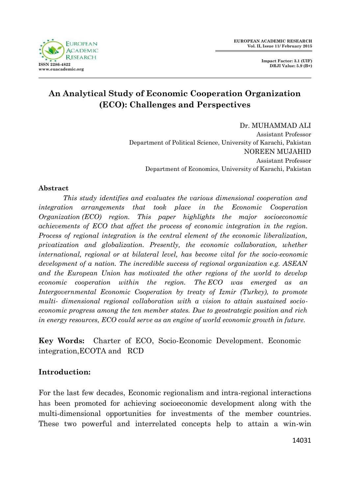

**Impact Factor: 3.1 (UIF) DRJI Value: 5.9 (B+)**

# **An Analytical Study of Economic Cooperation Organization (ECO): Challenges and Perspectives**

Dr. MUHAMMAD ALI Assistant Professor Department of Political Science, University of Karachi, Pakistan NOREEN MUJAHID Assistant Professor Department of Economics, University of Karachi, Pakistan

#### **Abstract**

*This study identifies and evaluates the various dimensional cooperation and integration arrangements that took place in the Economic Cooperation Organization (ECO) region. This paper highlights the major socioeconomic achievements of ECO that affect the process of economic integration in the region. Process of regional integration is the central element of the economic liberalization, privatization and globalization. Presently, the economic collaboration, whether international, regional or at bilateral level, has become vital for the socio-economic development of a nation. The incredible success of regional organization e.g. ASEAN and the European Union has motivated the other regions of the world to develop economic cooperation within the region. The ECO was emerged as an Intergovernmental Economic Cooperation by treaty of Izmir (Turkey), to promote multi- dimensional regional collaboration with a vision to attain sustained socioeconomic progress among the ten member states. Due to geostrategic position and rich in energy resources, ECO could serve as an engine of world economic growth in future.* 

**Key Words:** Charter of ECO, Socio-Economic Development. Economic integration,ECOTA and RCD

## **Introduction:**

For the last few decades, Economic regionalism and intra-regional interactions has been promoted for achieving socioeconomic development along with the multi-dimensional opportunities for investments of the member countries. These two powerful and interrelated concepts help to attain a win-win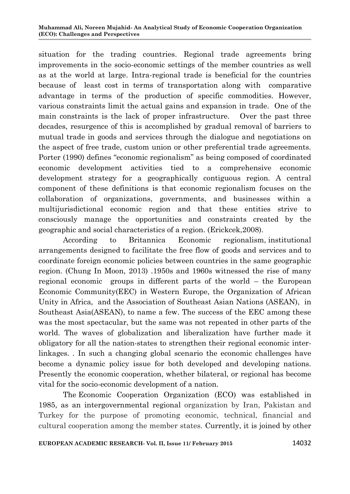situation for the trading countries. Regional trade agreements bring improvements in the socio-economic settings of the member countries as well as at the world at large. Intra-regional trade is beneficial for the countries because of least cost in terms of transportation along with comparative advantage in terms of the production of specific commodities. However, various constraints limit the actual gains and expansion in trade. One of the main constraints is the lack of proper infrastructure. Over the past three decades, resurgence of this is accomplished by gradual removal of barriers to mutual trade in goods and services through the dialogue and negotiations on the aspect of free trade, custom union or other preferential trade agreements. Porter (1990) defines "economic regionalism" as being composed of coordinated economic development activities tied to a comprehensive economic development strategy for a geographically contiguous region. A central component of these definitions is that economic regionalism focuses on the collaboration of organizations, governments, and businesses within a multijurisdictional economic region and that these entities strive to consciously manage the opportunities and constraints created by the geographic and social characteristics of a region. (Erickcek,2008).

According to Britannica Economic regionalism, institutional arrangements designed to facilitate the free flow of goods and services and to coordinate foreign economic policies between countries in the same geographic region. (Chung In Moon, 2013) .1950s and 1960s witnessed the rise of many regional economic groups in different parts of the world – the European Economic Community(EEC) in Western Europe, the Organization of African Unity in Africa, and the Association of Southeast Asian Nations (ASEAN), in Southeast Asia(ASEAN), to name a few. The success of the EEC among these was the most spectacular, but the same was not repeated in other parts of the world. The waves of globalization and liberalization have further made it obligatory for all the nation-states to strengthen their regional economic interlinkages. *.* In such a changing global scenario the economic challenges have become a dynamic policy issue for both developed and developing nations. Presently the economic cooperation, whether bilateral, or regional has become vital for the socio-economic development of a nation.

The Economic Cooperation Organization (ECO) was established in 1985, as an intergovernmental regional organization by Iran, Pakistan and Turkey for the purpose of promoting economic, technical, financial and cultural cooperation among the member states. Currently, it is joined by other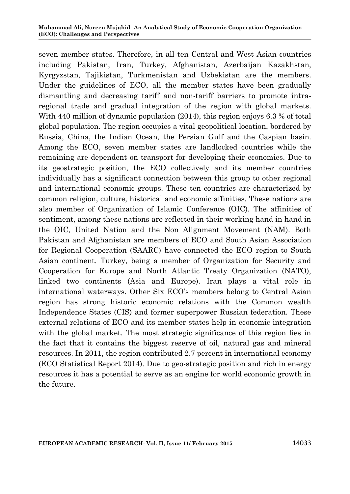seven member states. Therefore, in all ten Central and West Asian countries including Pakistan, Iran, Turkey, Afghanistan, Azerbaijan Kazakhstan, Kyrgyzstan, Tajikistan, Turkmenistan and Uzbekistan are the members. Under the guidelines of ECO, all the member states have been gradually dismantling and decreasing tariff and non-tariff barriers to promote intraregional trade and gradual integration of the region with global markets. With 440 million of dynamic population (2014), this region enjoys 6.3 % of total global population. The region occupies a vital geopolitical location, bordered by Russia, China, the Indian Ocean, the Persian Gulf and the Caspian basin. Among the ECO, seven member states are landlocked countries while the remaining are dependent on transport for developing their economies. Due to its geostrategic position, the ECO collectively and its member countries individually has a significant connection between this group to other regional and international economic groups. These ten countries are characterized by common religion, culture, historical and economic affinities. These nations are also member of Organization of Islamic Conference (OIC). The affinities of sentiment, among these nations are reflected in their working hand in hand in the OIC, United Nation and the Non Alignment Movement (NAM). Both Pakistan and Afghanistan are members of ECO and South Asian Association for Regional Cooperation (SAARC) have connected the ECO region to South Asian continent. Turkey, being a member of Organization for Security and Cooperation for Europe and North Atlantic Treaty Organization (NATO), linked two continents (Asia and Europe). Iran plays a vital role in international waterways. Other Six ECO's members belong to Central Asian region has strong historic economic relations with the Common wealth Independence States (CIS) and former superpower Russian federation. These external relations of ECO and its member states help in economic integration with the global market. The most strategic significance of this region lies in the fact that it contains the biggest reserve of oil, natural gas and mineral resources. In 2011, the region contributed 2.7 percent in international economy (ECO Statistical Report 2014). Due to geo-strategic position and rich in energy resources it has a potential to serve as an engine for world economic growth in the future.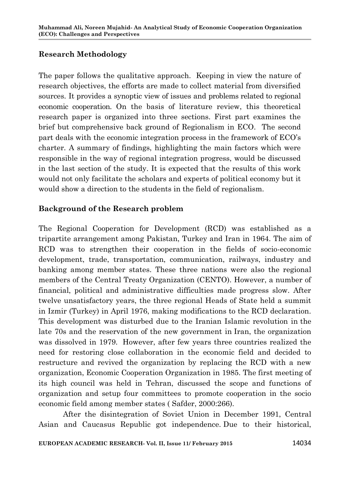# **Research Methodology**

The paper follows the qualitative approach. Keeping in view the nature of research objectives, the efforts are made to collect material from diversified sources. It provides a synoptic view of issues and problems related to regional economic cooperation. On the basis of literature review, this theoretical research paper is organized into three sections. First part examines the brief but comprehensive back ground of Regionalism in ECO. The second part deals with the economic integration process in the framework of ECO's charter. A summary of findings, highlighting the main factors which were responsible in the way of regional integration progress, would be discussed in the last section of the study. It is expected that the results of this work would not only facilitate the scholars and experts of political economy but it would show a direction to the students in the field of regionalism.

# **Background of the Research problem**

The Regional Cooperation for Development (RCD) was established as a tripartite arrangement among Pakistan, Turkey and Iran in 1964. The aim of RCD was to strengthen their cooperation in the fields of socio-economic development, trade, transportation, communication, railways, industry and banking among member states. These three nations were also the regional members of the Central Treaty Organization (CENTO). However, a number of financial, political and administrative difficulties made progress slow. After twelve unsatisfactory years, the three regional Heads of State held a summit in Izmir (Turkey) in April 1976, making modifications to the RCD declaration. This development was disturbed due to the Iranian Islamic revolution in the late 70s and the reservation of the new government in Iran, the organization was dissolved in 1979. However, after few years three countries realized the need for restoring close collaboration in the economic field and decided to restructure and revived the organization by replacing the RCD with a new organization, Economic Cooperation Organization in 1985. The first meeting of its high council was held in Tehran, discussed the scope and functions of organization and setup four committees to promote cooperation in the socio economic field among member states ( Safder, 2000:266).

After the disintegration of Soviet Union in December 1991, Central Asian and Caucasus Republic got independence. Due to their historical,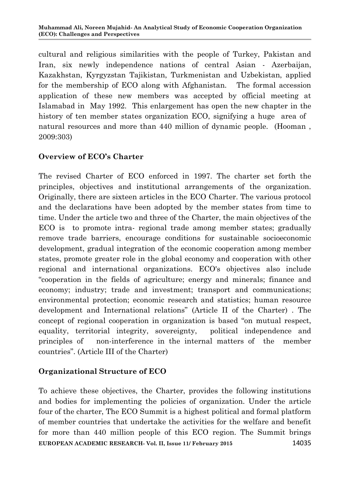cultural and religious similarities with the people of Turkey, Pakistan and Iran, six newly independence nations of central Asian - Azerbaijan, Kazakhstan, Kyrgyzstan Tajikistan, Turkmenistan and Uzbekistan, applied for the membership of ECO along with Afghanistan. The formal accession application of these new members was accepted by official meeting at Islamabad in May 1992. This enlargement has open the new chapter in the history of ten member states organization ECO, signifying a huge area of natural resources and more than 440 million of dynamic people. (Hooman , 2009:303)

# **Overview of ECO's Charter**

The revised Charter of ECO enforced in 1997. The charter set forth the principles, objectives and institutional arrangements of the organization. Originally, there are sixteen articles in the ECO Charter. The various protocol and the declarations have been adopted by the member states from time to time. Under the article two and three of the Charter, the main objectives of the ECO is to promote intra- regional trade among member states; gradually remove trade barriers, encourage conditions for sustainable socioeconomic development, gradual integration of the economic cooperation among member states, promote greater role in the global economy and cooperation with other regional and international organizations. ECO's objectives also include "cooperation in the fields of agriculture; energy and minerals; finance and economy; industry; trade and investment; transport and communications; environmental protection; economic research and statistics; human resource development and International relations" (Article II of the Charter) . The concept of regional cooperation in organization is based "on mutual respect, equality, territorial integrity, sovereignty, political independence and principles of non-interference in the internal matters of the member countries". (Article III of the Charter)

#### **Organizational Structure of ECO**

**EUROPEAN ACADEMIC RESEARCH- Vol. II, Issue 11/ February 2015** 14035 To achieve these objectives, the Charter, provides the following institutions and bodies for implementing the policies of organization. Under the article four of the charter, The ECO Summit is a highest political and formal platform of member countries that undertake the activities for the welfare and benefit for more than 440 million people of this ECO region. The Summit brings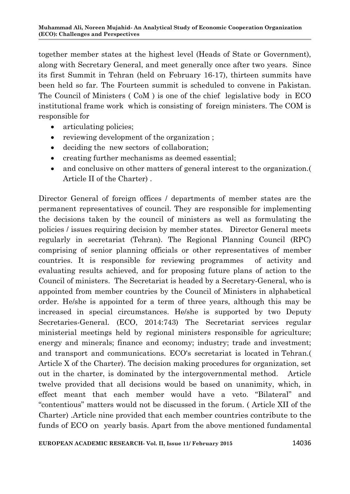together member states at the highest level (Heads of State or Government), along with Secretary General, and meet generally once after two years. Since its first Summit in Tehran (held on February 16-17), thirteen summits have been held so far. The Fourteen summit is scheduled to convene in Pakistan. The Council of Ministers ( CoM ) is one of the chief legislative body in ECO institutional frame work which is consisting of foreign ministers. The COM is responsible for

- articulating policies;
- reviewing development of the organization ;
- deciding the new sectors of collaboration;
- creating further mechanisms as deemed essential;
- and conclusive on other matters of general interest to the organization.( Article II of the Charter) .

Director General of foreign offices / departments of member states are the permanent representatives of council. They are responsible for implementing the decisions taken by the council of ministers as well as formulating the policies / issues requiring decision by member states. Director General meets regularly in secretariat (Tehran). The Regional Planning Council (RPC) comprising of senior planning officials or other representatives of member countries. It is responsible for reviewing programmes of activity and evaluating results achieved, and for proposing future plans of action to the Council of ministers. The Secretariat is headed by a Secretary-General, who is appointed from member countries by the Council of Ministers in alphabetical order. He/she is appointed for a term of three years, although this may be increased in special circumstances. He/she is supported by two Deputy Secretaries-General. (ECO, 2014:743) The Secretariat services regular ministerial meetings held by regional ministers responsible for agriculture; energy and minerals; finance and economy; industry; trade and investment; and transport and communications. ECO's secretariat is located in Tehran.( Article X of the Charter). The decision making procedures for organization, set out in the charter, is dominated by the intergovernmental method. Article twelve provided that all decisions would be based on unanimity, which, in effect meant that each member would have a veto. "Bilateral" and "contentious" matters would not be discussed in the forum. ( Article XII of the Charter) .Article nine provided that each member countries contribute to the funds of ECO on yearly basis. Apart from the above mentioned fundamental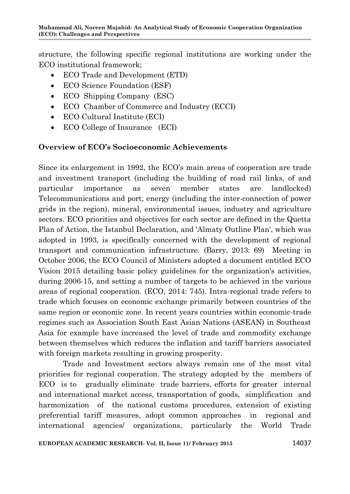structure, the following specific regional institutions are working under the ECO institutional framework;

- ECO Trade and Development (ETD)
- ECO Science Foundation (ESF)
- ECO Shipping Company (ESC)
- ECO Chamber of Commerce and Industry (ECCI)
- ECO Cultural Institute (ECI)
- ECO College of Insurance (ECI)

#### **Overview of ECO's Socioeconomic Achievements**

Since its enlargement in 1992, the ECO's main areas of cooperation are trade and investment transport (including the building of road rail links, of and particular importance as seven member states are landlocked) Telecommunications and port, energy (including the inter-connection of power grids in the region), mineral, environmental issues, industry and agriculture sectors. ECO priorities and objectives for each sector are defined in the Quetta Plan of Action, the Istanbul Declaration, and 'Almaty Outline Plan', which was adopted in 1993, is specifically concerned with the development of regional transport and communication infrastructure. (Barry, 2013: 69) Meeting in October 2006, the ECO Council of Ministers adopted a document entitled ECO Vision 2015 detailing basic policy guidelines for the organization's activities, during 2006-15, and setting a number of targets to be achieved in the various areas of regional cooperation. (ECO, 2014: 745). Intra-regional trade refers to trade which focuses on economic exchange primarily between countries of the same region or economic zone. In recent years countries within economic-trade regimes such as Association South East Asian Nations (ASEAN) in Southeast Asia for example have increased the level of trade and commodity exchange between themselves which reduces the inflation and tariff barriers associated with foreign markets resulting in growing prosperity.

Trade and Investment sectors always remain one of the most vital priorities for regional cooperation. The strategy adopted by the members of ECO is to gradually eliminate trade barriers, efforts for greater internal and international market access, transportation of goods, simplification and harmonization of the national customs procedures, extension of existing preferential tariff measures, adopt common approaches in regional and international agencies/ organizations, particularly the World Trade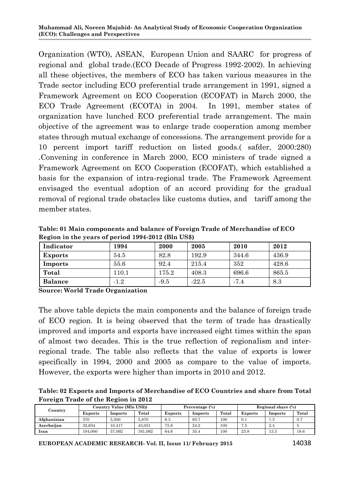Organization (WTO), ASEAN, European Union and SAARC for progress of regional and global trade.(ECO Decade of Progress 1992-2002). In achieving all these objectives, the members of ECO has taken various measures in the Trade sector including ECO preferential trade arrangement in 1991, signed a Framework Agreement on ECO Cooperation (ECOFAT) in March 2000, the ECO Trade Agreement (ECOTA) in 2004. In 1991, member states of organization have lunched ECO preferential trade arrangement. The main objective of the agreement was to enlarge trade cooperation among member states through mutual exchange of concessions. The arrangement provide for a 10 percent import tariff reduction on listed goods.( safder, 2000:280) .Convening in conference in March 2000, ECO ministers of trade signed a Framework Agreement on ECO Cooperation (ECOFAT), which established a basis for the expansion of intra-regional trade. The Framework Agreement envisaged the eventual adoption of an accord providing for the gradual removal of regional trade obstacles like customs duties, and tariff among the member states.

**Table: 01 Main components and balance of Foreign Trade of Merchandise of ECO Region in the years of period 1994-2012 (Bln US\$)**

| Indicator      | 1994   | 2000   | 2005    | 2010   | 2012  |
|----------------|--------|--------|---------|--------|-------|
| <b>Exports</b> | 54.5   | 82.8   | 192.9   | 344.6  | 436.9 |
| Imports        | 55.6   | 92.4   | 215.4   | 352    | 428.6 |
| Total          | 110.1  | 175.2  | 408.3   | 696.6  | 865.5 |
| <b>Balance</b> | $-1.2$ | $-9.5$ | $-22.5$ | $-7.4$ | 8.3   |

**Source: World Trade Organization**

The above table depicts the main components and the balance of foreign trade of ECO region. It is being observed that the term of trade has drastically improved and imports and exports have increased eight times within the span of almost two decades. This is the true reflection of regionalism and interregional trade. The table also reflects that the value of exports is lower specifically in 1994, 2000 and 2005 as compare to the value of imports. However, the exports were higher than imports in 2010 and 2012.

**Table: 02 Exports and Imports of Merchandise of ECO Countries and share from Total Foreign Trade of the Region in 2012**

| Country     | Country Value (Mln US\$)) |         |         | Percentage (%) |         |       | Regional share (%) |         |       |
|-------------|---------------------------|---------|---------|----------------|---------|-------|--------------------|---------|-------|
|             | <b>Exports</b>            | Imports | Total   | <b>Exports</b> | Imports | Total | <b>Exports</b>     | Imports | Total |
| Afghanistan | 370                       | 5.500   | 5.870   | 6.3            | 93.7    | 100   | 0.1                | $1.3\,$ |       |
| Azerbaiian  | 32.634                    | 10.417  | 43.051  | 75.8           | 24.2    | 100   | 7.5                | 2.4     |       |
| lran        | 104.000                   | 57.092  | 161.092 | 64.6           | 35.4    | 100   | 23.8               | 13.3    | 18.6  |

**EUROPEAN ACADEMIC RESEARCH- Vol. II, Issue 11/ February 2015** 14038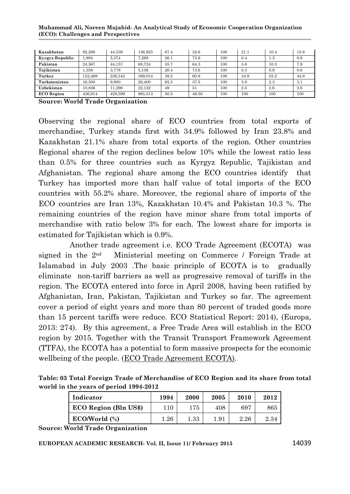| Kazakhstan        | 92.286  | 44.539  | 136.825 | 67.4 | 32.6  | 100 | 21.1 | 10.4 | 15.8 |
|-------------------|---------|---------|---------|------|-------|-----|------|------|------|
| Kyrgyz Republic   | 1.894   | 5.374   | 7.268   | 26.1 | 73.9  | 100 | 0.4  | 1.3  | 0.8  |
| Pakistan          | 24.567  | 44.157  | 68.724  | 35.7 | 64.3  | 100 | 5.6  | 10.3 | 7.9  |
| Taiikistan        | .358    | 3.778   | 5.136   | 26.4 | 73.6  | 100 | 0.3  | 0.9  | 0.6  |
| Turkey            | 152.469 | 236,545 | 389.014 | 39.2 | 60.8  | 100 | 34.9 | 55.2 | 44.9 |
| Turkmenistan      | 16.500  | 9.900   | 26.400  | 62.5 | 37.5  | 100 | 3.8  | 2.3  | 3.1  |
| Uzbekistan        | 10.836  | 11.296  | 22.132  | 49   | 51    | 100 | 2.5  | 2.6  | 2.6  |
| <b>ECO</b> Region | 436.914 | 428.599 | 865.513 | 50.5 | 49.50 | 100 | 100  | 100  | 100  |

**Source: World Trade Organization**

Observing the regional share of ECO countries from total exports of merchandise, Turkey stands first with 34.9% followed by Iran 23.8% and Kazakhstan 21.1% share from total exports of the region. Other countries Regional shares of the region declines below 10% while the lowest ratio less than 0.5% for three countries such as Kyrgyz Republic, Tajikistan and Afghanistan. The regional share among the ECO countries identify that Turkey has imported more than half value of total imports of the ECO countries with 55.2% share. Moreover, the regional share of imports of the ECO countries are Iran 13%, Kazakhstan 10.4% and Pakistan 10.3 %. The remaining countries of the region have minor share from total imports of merchandise with ratio below 3% for each. The lowest share for imports is estimated for Tajikistan which is 0.9%.

Another trade agreement i.e. ECO Trade Agreement (ECOTA) was signed in the 2nd Ministerial meeting on Commerce / Foreign Trade at Islamabad in July 2003 .The basic principle of ECOTA is to gradually eliminate non-tariff barriers as well as progressive removal of tariffs in the region. The ECOTA entered into force in April 2008, having been ratified by Afghanistan, Iran, Pakistan, Tajikistan and Turkey so far. The agreement cover a period of eight years and more than 80 percent of traded goods more than 15 percent tariffs were reduce. ECO Statistical Report: 2014), (Europa, 2013: 274). By this agreement, a Free Trade Area will establish in the ECO region by 2015. Together with the Transit Transport Framework Agreement (TTFA), the ECOTA has a potential to form massive prospects for the economic wellbeing of the people. [\(ECO Trade Agreement ECOTA\).](http://www.ecosecretariat.org/ftproot/Documents/Agreements/ECOTA.htm)

**Table: 03 Total Foreign Trade of Merchandise of ECO Region and its share from total world in the years of period 1994-2012**

| Indicator             | 1994     | 2000     | 2005 | 2010 | 2012 |
|-----------------------|----------|----------|------|------|------|
| ECO Region (Bln US\$) | 110      | 175      | 408  | 697  | 865  |
| ECO/World (%)         | $1.26\,$ | $1.33\,$ | 1.91 | 2.26 | 2.34 |

**Source: World Trade Organization**

**EUROPEAN ACADEMIC RESEARCH- Vol. II, Issue 11/ February 2015** 14039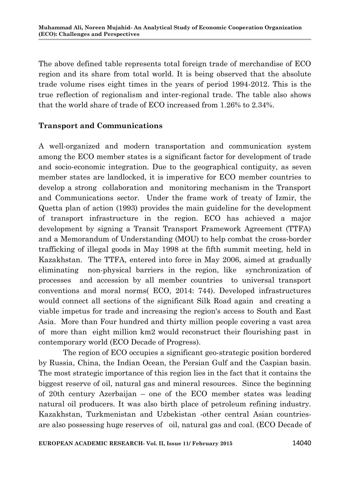The above defined table represents total foreign trade of merchandise of ECO region and its share from total world. It is being observed that the absolute trade volume rises eight times in the years of period 1994-2012. This is the true reflection of regionalism and inter-regional trade. The table also shows that the world share of trade of ECO increased from 1.26% to 2.34%.

#### **Transport and Communications**

A well-organized and modern transportation and communication system among the ECO member states is a significant factor for development of trade and socio-economic integration. Due to the geographical contiguity, as seven member states are landlocked, it is imperative for ECO member countries to develop a strong collaboration and monitoring mechanism in the Transport and Communications sector. Under the frame work of treaty of Izmir, the Quetta plan of action (1993) provides the main guideline for the development of transport infrastructure in the region. ECO has achieved a major development by signing a Transit Transport Framework Agreement (TTFA) and a Memorandum of Understanding (MOU) to help combat the cross-border trafficking of illegal goods in May 1998 at the fifth summit meeting, held in Kazakhstan. The TTFA, entered into force in May 2006, aimed at gradually eliminating non-physical barriers in the region, like synchronization of processes and accession by all member countries to universal transport conventions and moral norms( ECO, 2014: 744). Developed infrastructures would connect all sections of the significant Silk Road again and creating a viable impetus for trade and increasing the region's access to South and East Asia. More than Four hundred and thirty million people covering a vast area of more than eight million km2 would reconstruct their flourishing past in contemporary world (ECO Decade of Progress).

The region of ECO occupies a significant geo-strategic position bordered by Russia, China, the Indian Ocean, the Persian Gulf and the Caspian basin. The most strategic importance of this region lies in the fact that it contains the biggest reserve of oil, natural gas and mineral resources. Since the beginning of 20th century Azerbaijan – one of the ECO member states was leading natural oil producers. It was also birth place of petroleum refining industry. Kazakhstan, Turkmenistan and Uzbekistan -other central Asian countriesare also possessing huge reserves of oil, natural gas and coal. (ECO Decade of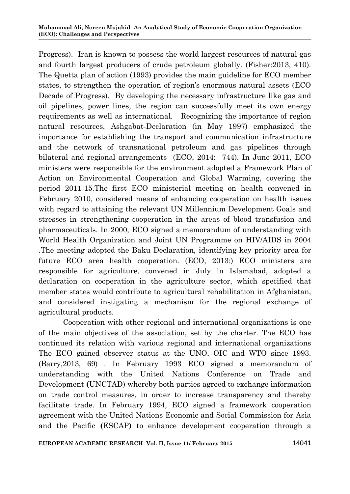Progress). Iran is known to possess the world largest resources of natural gas and fourth largest producers of crude petroleum globally. (Fisher:2013, 410). The Quetta plan of action (1993) provides the main guideline for ECO member states, to strengthen the operation of region's enormous natural assets (ECO Decade of Progress). By developing the necessary infrastructure like gas and oil pipelines, power lines, the region can successfully meet its own energy requirements as well as international. Recognizing the importance of region natural resources, Ashgabat-Declaration (in May 1997) emphasized the importance for establishing the transport and communication infrastructure and the network of transnational petroleum and gas pipelines through bilateral and regional arrangements (ECO, 2014: 744). In June 2011, ECO ministers were responsible for the environment adopted a Framework Plan of Action on Environmental Cooperation and Global Warming, covering the period 2011-15.The first ECO ministerial meeting on health convened in February 2010, considered means of enhancing cooperation on health issues with regard to attaining the relevant UN Millennium Development Goals and stresses in strengthening cooperation in the areas of blood transfusion and pharmaceuticals. In 2000, ECO signed a memorandum of understanding with World Health Organization and Joint UN Programme on HIV/AIDS in 2004 .The meeting adopted the Baku Declaration, identifying key priority area for future ECO area health cooperation. (ECO, 2013:) ECO ministers are responsible for agriculture, convened in July in Islamabad, adopted a declaration on cooperation in the agriculture sector, which specified that member states would contribute to agricultural rehabilitation in Afghanistan, and considered instigating a mechanism for the regional exchange of agricultural products.

Cooperation with other regional and international organizations is one of the main objectives of the association, set by the charter. The ECO has continued its relation with various regional and international organizations The ECO gained observer status at the UNO, OIC and WTO since 1993. (Barry,2013, 69) . In February 1993 ECO signed a memorandum of understanding with the United Nations Conference on Trade and Development **(**UNCTAD) whereby both parties agreed to exchange information on trade control measures, in order to increase transparency and thereby facilitate trade. In February 1994, ECO signed a framework cooperation agreement with the United Nations Economic and Social Commission for Asia and the Pacific **(**ESCAP**)** to enhance development cooperation through a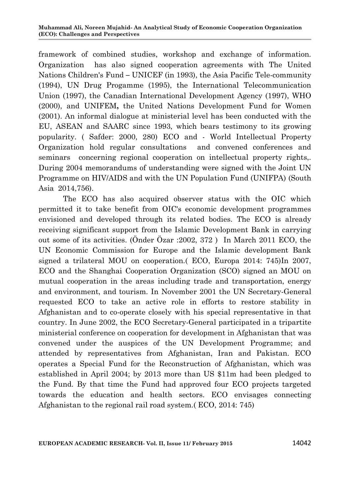framework of combined studies, workshop and exchange of information. Organization has also signed cooperation agreements with The United Nations Children's Fund **–** UNICEF (in 1993), the Asia Pacific Tele-community (1994), UN Drug Progamme (1995), the International Telecommunication Union (1997), the Canadian International Development Agency (1997), WHO (2000), and UNIFEM**,** the United Nations Development Fund for Women (2001). An informal dialogue at ministerial level has been conducted with the EU, ASEAN and SAARC since 1993, which bears testimony to its growing popularity. ( Safder: 2000, 280) ECO and - World Intellectual Property Organization hold regular consultations and convened conferences and seminars concerning regional cooperation on intellectual property rights,. During 2004 memorandums of understanding were signed with the Joint UN Programme on HIV/AIDS and with the UN Population Fund (UNIFPA) (South Asia 2014,756).

The ECO has also acquired observer status with the OIC which permitted it to take benefit from OIC's economic development programmes envisioned and developed through its related bodies. The ECO is already receiving significant support from the Islamic Development Bank in carrying out some of its activities. (Önder Özar :2002, 372 ) In March 2011 ECO, the UN Economic Commission for Europe and the Islamic development Bank signed a trilateral MOU on cooperation.( ECO, Europa 2014: 745)In 2007, ECO and the Shanghai Cooperation Organization (SCO) signed an MOU on mutual cooperation in the areas including trade and transportation, energy and environment, and tourism. In November 2001 the UN Secretary-General requested ECO to take an active role in efforts to restore stability in Afghanistan and to co-operate closely with his special representative in that country. In June 2002, the ECO Secretary-General participated in a tripartite ministerial conference on cooperation for development in Afghanistan that was convened under the auspices of the UN Development Programme; and attended by representatives from Afghanistan, Iran and Pakistan. ECO operates a Special Fund for the Reconstruction of Afghanistan, which was established in April 2004; by 2013 more than US \$11m had been pledged to the Fund. By that time the Fund had approved four ECO projects targeted towards the education and health sectors. ECO envisages connecting Afghanistan to the regional rail road system.( ECO, 2014: 745)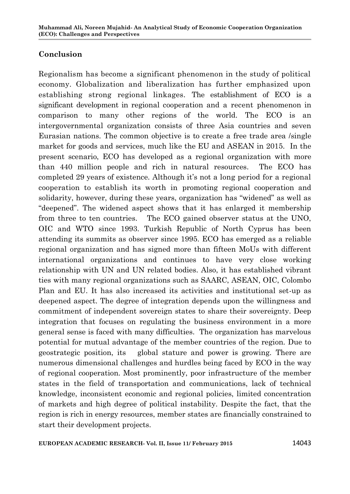# **Conclusion**

Regionalism has become a significant phenomenon in the study of political economy. Globalization and liberalization has further emphasized upon establishing strong regional linkages. The establishment of ECO is a significant development in regional cooperation and a recent phenomenon in comparison to many other regions of the world. The ECO is an intergovernmental organization consists of three Asia countries and seven Eurasian nations. The common objective is to create a free trade area /single market for goods and services, much like the EU and ASEAN in 2015. In the present scenario, ECO has developed as a regional organization with more than 440 million people and rich in natural resources. The ECO has completed 29 years of existence. Although it's not a long period for a regional cooperation to establish its worth in promoting regional cooperation and solidarity, however, during these years, organization has "widened" as well as "deepened". The widened aspect shows that it has enlarged it membership from three to ten countries. The ECO gained observer status at the UNO, OIC and WTO since 1993. Turkish Republic of North Cyprus has been attending its summits as observer since 1995. ECO has emerged as a reliable regional organization and has signed more than fifteen MoUs with different international organizations and continues to have very close working relationship with UN and UN related bodies. Also, it has established vibrant ties with many regional organizations such as SAARC, ASEAN, OIC, Colombo Plan and EU. It has also increased its activities and institutional set-up as deepened aspect. The degree of integration depends upon the willingness and commitment of independent sovereign states to share their sovereignty. Deep integration that focuses on regulating the business environment in a more general sense is faced with many difficulties. The organization has marvelous potential for mutual advantage of the member countries of the region. Due to geostrategic position, its global stature and power is growing. There are numerous dimensional challenges and hurdles being faced by ECO in the way of regional cooperation. Most prominently, poor infrastructure of the member states in the field of transportation and communications, lack of technical knowledge, inconsistent economic and regional policies, limited concentration of markets and high degree of political instability. Despite the fact, that the region is rich in energy resources, member states are financially constrained to start their development projects.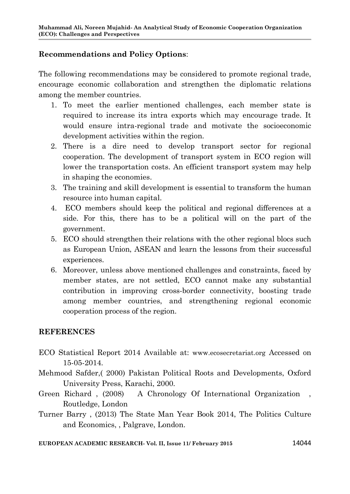# **Recommendations and Policy Options**:

The following recommendations may be considered to promote regional trade, encourage economic collaboration and strengthen the diplomatic relations among the member countries.

- 1. To meet the earlier mentioned challenges, each member state is required to increase its intra exports which may encourage trade. It would ensure intra-regional trade and motivate the socioeconomic development activities within the region.
- 2. There is a dire need to develop transport sector for regional cooperation. The development of transport system in ECO region will lower the transportation costs. An efficient transport system may help in shaping the economies.
- 3. The training and skill development is essential to transform the human resource into human capital.
- 4. ECO members should keep the political and regional differences at a side. For this, there has to be a political will on the part of the government.
- 5. ECO should strengthen their relations with the other regional blocs such as European Union, ASEAN and learn the lessons from their successful experiences.
- 6. Moreover, unless above mentioned challenges and constraints, faced by member states, are not settled, ECO cannot make any substantial contribution in improving cross-border connectivity, boosting trade among member countries, and strengthening regional economic cooperation process of the region.

#### **REFERENCES**

- ECO Statistical Report 2014 Available at: www.ecosecretariat.org Accessed on 15-05-2014.
- Mehmood Safder,( 2000) Pakistan Political Roots and Developments, Oxford University Press, Karachi, 2000.
- Green Richard , (2008) A Chronology Of International Organization , Routledge, London
- Turner Barry , (2013) The State Man Year Book 2014, The Politics Culture and Economics, , Palgrave, London.